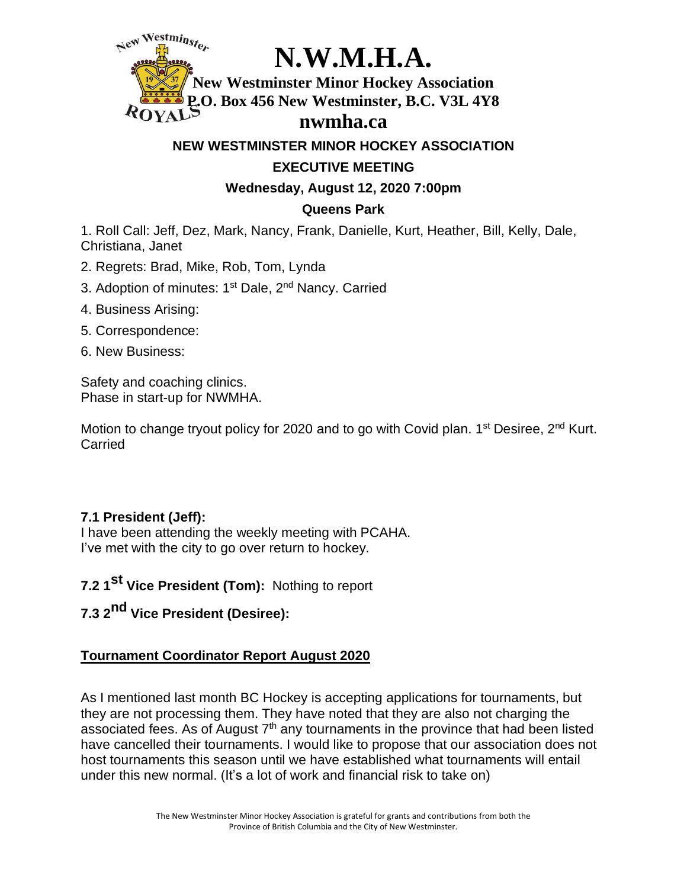Westminster **N.W.M.H.A. New Westminster Minor Hockey Association P.O. Box 456 New Westminster, B.C. V3L 4Y8**

## **nwmha.ca**

**NEW WESTMINSTER MINOR HOCKEY ASSOCIATION**

### **EXECUTIVE MEETING**

**Wednesday, August 12, 2020 7:00pm**

## **Queens Park**

1. Roll Call: Jeff, Dez, Mark, Nancy, Frank, Danielle, Kurt, Heather, Bill, Kelly, Dale, Christiana, Janet

- 2. Regrets: Brad, Mike, Rob, Tom, Lynda
- 3. Adoption of minutes: 1<sup>st</sup> Dale, 2<sup>nd</sup> Nancy. Carried
- 4. Business Arising:
- 5. Correspondence:
- 6. New Business:

Safety and coaching clinics. Phase in start-up for NWMHA.

Motion to change tryout policy for 2020 and to go with Covid plan. 1<sup>st</sup> Desiree, 2<sup>nd</sup> Kurt. Carried

# **7.1 President (Jeff):**

I have been attending the weekly meeting with PCAHA. I've met with the city to go over return to hockey.

**7.2 1 st Vice President (Tom):** Nothing to report

**7.3 2 nd Vice President (Desiree):**

# **Tournament Coordinator Report August 2020**

As I mentioned last month BC Hockey is accepting applications for tournaments, but they are not processing them. They have noted that they are also not charging the associated fees. As of August 7<sup>th</sup> any tournaments in the province that had been listed have cancelled their tournaments. I would like to propose that our association does not host tournaments this season until we have established what tournaments will entail under this new normal. (It's a lot of work and financial risk to take on)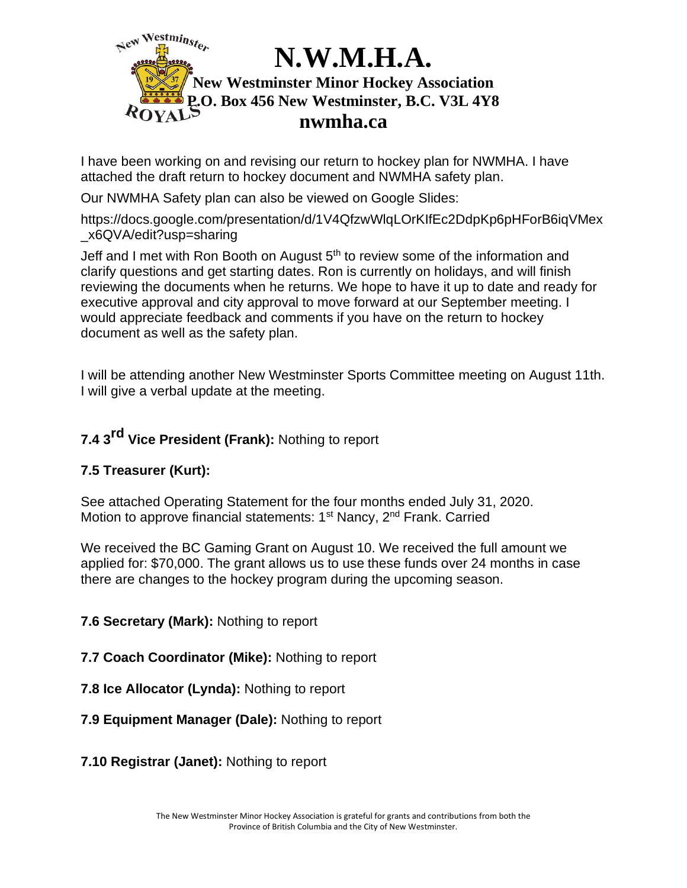

I have been working on and revising our return to hockey plan for NWMHA. I have attached the draft return to hockey document and NWMHA safety plan.

Our NWMHA Safety plan can also be viewed on Google Slides:

[https://docs.google.com/presentation/d/1V4QfzwWlqLOrKIfEc2DdpKp6pHForB6iqVMex](https://docs.google.com/presentation/d/1V4QfzwWlqLOrKIfEc2DdpKp6pHForB6iqVMex_x6QVA/edit?usp=sharing) [\\_x6QVA/edit?usp=sharing](https://docs.google.com/presentation/d/1V4QfzwWlqLOrKIfEc2DdpKp6pHForB6iqVMex_x6QVA/edit?usp=sharing)

Jeff and I met with Ron Booth on August 5<sup>th</sup> to review some of the information and clarify questions and get starting dates. Ron is currently on holidays, and will finish reviewing the documents when he returns. We hope to have it up to date and ready for executive approval and city approval to move forward at our September meeting. I would appreciate feedback and comments if you have on the return to hockey document as well as the safety plan.

I will be attending another New Westminster Sports Committee meeting on August 11th. I will give a verbal update at the meeting.

# **7.4 3 rd Vice President (Frank):** Nothing to report

### **7.5 Treasurer (Kurt):**

See attached Operating Statement for the four months ended July 31, 2020. Motion to approve financial statements: 1<sup>st</sup> Nancy, 2<sup>nd</sup> Frank. Carried

We received the BC Gaming Grant on August 10. We received the full amount we applied for: \$70,000. The grant allows us to use these funds over 24 months in case there are changes to the hockey program during the upcoming season.

### **7.6 Secretary (Mark):** Nothing to report

### **7.7 Coach Coordinator (Mike):** Nothing to report

**7.8 Ice Allocator (Lynda):** Nothing to report

#### **7.9 Equipment Manager (Dale):** Nothing to report

**7.10 Registrar (Janet):** Nothing to report